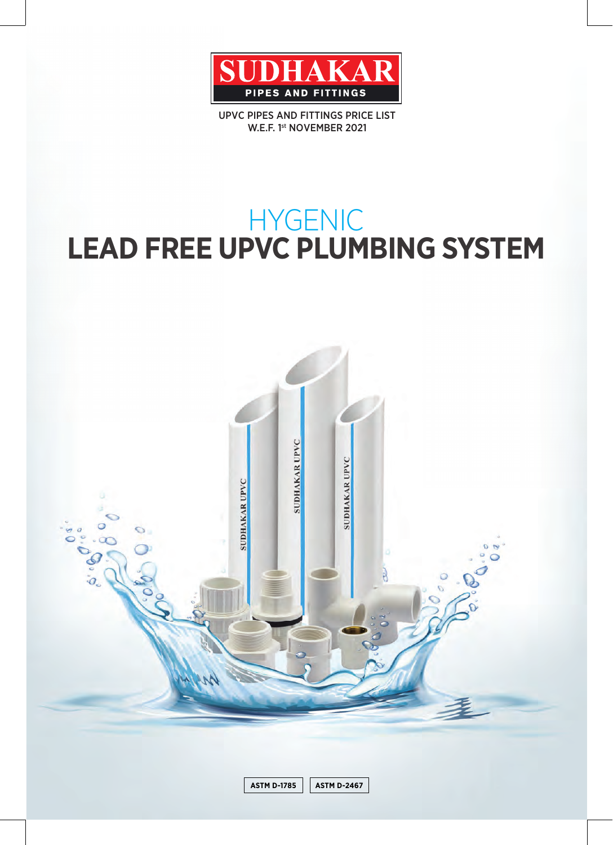

UPVC PIPES AND FITTINGS PRICE LIST W.E.F. 1st NOVEMBER 2021

# HYGENIC<br>LEAD FREE UPVC PLUMBING SYSTEM

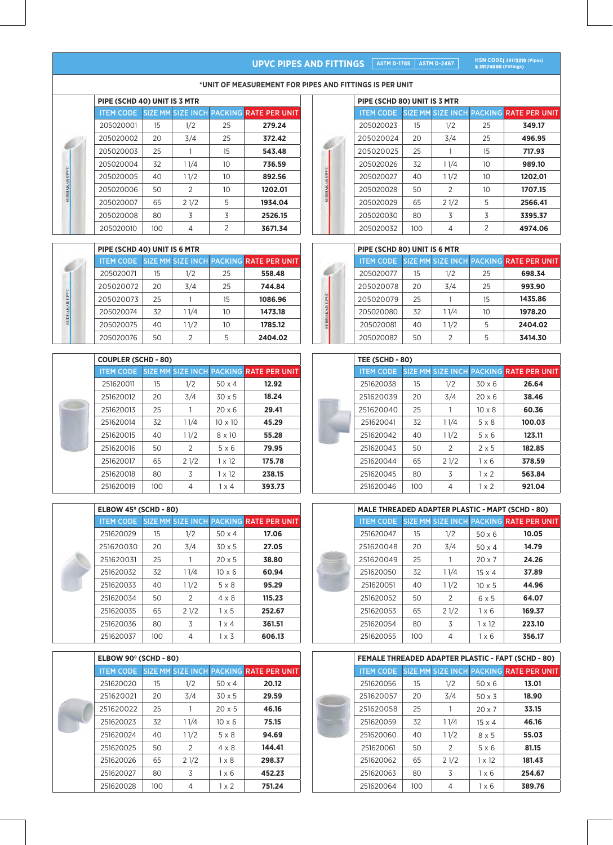# UPVC PIPES AND FITTINGS **ASTM D-1785** ASTM D-2467

**HSN CODE: 39172310 (Pipes)**<br>**& 39174000 (Fittings)** 

| PIPE (SCHD 40) UNIT IS 3 MTR |     |                |                |                                                          |  |  |  |  |  |
|------------------------------|-----|----------------|----------------|----------------------------------------------------------|--|--|--|--|--|
|                              |     |                |                | <b>ITEM CODE SIZE MM SIZE INCH PACKING RATE PER UNIT</b> |  |  |  |  |  |
| 205020001                    | 15  | 1/2            | 25             | 279.24                                                   |  |  |  |  |  |
| 205020002                    | 20  | 3/4            | 25             | 372.42                                                   |  |  |  |  |  |
| 205020003                    | 25  |                | 15             | 543.48                                                   |  |  |  |  |  |
| 205020004                    | 32  | 11/4           | 10             | 736.59                                                   |  |  |  |  |  |
| 205020005                    | 40  | 11/2           | 10             | 892.56                                                   |  |  |  |  |  |
| 205020006                    | 50  | $\overline{2}$ | 10             | 1202.01                                                  |  |  |  |  |  |
| 205020007                    | 65  | 21/2           | 5              | 1934.04                                                  |  |  |  |  |  |
| 205020008                    | 80  | 3              | 3              | 2526.15                                                  |  |  |  |  |  |
| 205020010                    | 100 | 4              | $\mathfrak{D}$ | 3671.34                                                  |  |  |  |  |  |

**DHAKAR UPV** 

DRAKAR UPVC

\*UNIT OF MEASUREMENT FOR PIPES AND FITTINGS IS PER UNIT

| PIPE (SCHD 40) UNIT IS 6 MTR |    |      |    |                                                          |  |  |  |  |
|------------------------------|----|------|----|----------------------------------------------------------|--|--|--|--|
|                              |    |      |    | <b>ITEM CODE SIZE MM SIZE INCH PACKING RATE PER UNIT</b> |  |  |  |  |
| 205020071                    | 15 | 1/2  | 25 | 558.48                                                   |  |  |  |  |
| 205020072                    | 20 | 3/4  | 25 | 744.84                                                   |  |  |  |  |
| 205020073                    | 25 |      | 15 | 1086.96                                                  |  |  |  |  |
| 205020074                    | 32 | 11/4 | 10 | 1473.18                                                  |  |  |  |  |
| 205020075                    | 40 | 11/2 | 10 | 1785.12                                                  |  |  |  |  |
| 205020076                    | 50 |      | 5  | 2404.02                                                  |  |  |  |  |

|  | <b>COUPLER (SCHD - 80)</b> |     |      |                |                                         |  |  |  |  |
|--|----------------------------|-----|------|----------------|-----------------------------------------|--|--|--|--|
|  | <b>ITEM CODE</b>           |     |      |                | SIZE MM SIZE INCH PACKING RATE PER UNIT |  |  |  |  |
|  | 251620011                  | 15  | 1/2  | $50 \times 4$  | 12.92                                   |  |  |  |  |
|  | 251620012                  | 20  | 3/4  | $30 \times 5$  | 18.24                                   |  |  |  |  |
|  | 251620013                  | 25  |      | $20 \times 6$  | 29.41                                   |  |  |  |  |
|  | 251620014                  | 32  | 11/4 | $10 \times 10$ | 45.29                                   |  |  |  |  |
|  | 251620015                  | 40  | 11/2 | 8 x 10         | 55.28                                   |  |  |  |  |
|  | 251620016                  | 50  | 2    | 5x6            | 79.95                                   |  |  |  |  |
|  | 251620017                  | 65  | 21/2 | $1 \times 12$  | 175.78                                  |  |  |  |  |
|  | 251620018                  | 80  | 3    | $1 \times 12$  | 238.15                                  |  |  |  |  |
|  | 251620019                  | 100 | 4    | $1 \times 4$   | 393.73                                  |  |  |  |  |

|  | <b>ELBOW 45° (SCHD - 80)</b> |     |               |               |                                         |  |  |  |  |
|--|------------------------------|-----|---------------|---------------|-----------------------------------------|--|--|--|--|
|  | <b>ITEM CODE</b>             |     |               |               | SIZE MM SIZE INCH PACKING RATE PER UNIT |  |  |  |  |
|  | 251620029                    | 15  | 1/2           | $50 \times 4$ | 17.06                                   |  |  |  |  |
|  | 251620030                    | 20  | 3/4           | $30 \times 5$ | 27.05                                   |  |  |  |  |
|  | 251620031                    | 25  |               | $20 \times 5$ | 38.80                                   |  |  |  |  |
|  | 251620032                    | 32  | 11/4          | $10 \times 6$ | 60.94                                   |  |  |  |  |
|  | 251620033                    | 40  | 11/2          | 5 x 8         | 95.29                                   |  |  |  |  |
|  | 251620034                    | 50  | $\mathcal{P}$ | $4 \times 8$  | 115.23                                  |  |  |  |  |
|  | 251620035                    | 65  | 21/2          | $1 \times 5$  | 252.67                                  |  |  |  |  |
|  | 251620036                    | 80  | 3             | $1 \times 4$  | 361.51                                  |  |  |  |  |
|  | 251620037                    | 100 | 4             | $1 \times 3$  | 606.13                                  |  |  |  |  |

|  | ELBOW 90° (SCHD - 80) |     |               |               |                                         |  |  |  |  |
|--|-----------------------|-----|---------------|---------------|-----------------------------------------|--|--|--|--|
|  | <b>ITEM CODE</b>      |     |               |               | SIZE MM SIZE INCH PACKING RATE PER UNIT |  |  |  |  |
|  | 251620020             | 15  | 1/2           | $50 \times 4$ | 20.12                                   |  |  |  |  |
|  | 251620021             | 20  | 3/4           | $30 \times 5$ | 29.59                                   |  |  |  |  |
|  | 251620022             | 25  |               | $20 \times 5$ | 46.16                                   |  |  |  |  |
|  | 251620023             | 32  | 11/4          | $10 \times 6$ | 75.15                                   |  |  |  |  |
|  | 251620024             | 40  | 11/2          | 5 x 8         | 94.69                                   |  |  |  |  |
|  | 251620025             | 50  | $\mathcal{P}$ | 4 x 8         | 144.41                                  |  |  |  |  |
|  | 251620026             | 65  | 21/2          | $1 \times 8$  | 298.37                                  |  |  |  |  |
|  | 251620027             | 80  | 3             | $1 \times 6$  | 452.23                                  |  |  |  |  |
|  | 251620028             | 100 | 4             | $1 \times 2$  | 751.24                                  |  |  |  |  |

| PIPE (SCHD 80) UNIT IS 3 MTR |     |               |    |                                         |  |  |  |  |  |
|------------------------------|-----|---------------|----|-----------------------------------------|--|--|--|--|--|
| <b>ITEM CODE</b>             |     |               |    | SIZE MM SIZE INCH PACKING RATE PER UNIT |  |  |  |  |  |
| 205020023                    | 15  | 1/2           | 25 | 349.17                                  |  |  |  |  |  |
| 205020024                    | 20  | 3/4           | 25 | 496.95                                  |  |  |  |  |  |
| 205020025                    | 25  |               | 15 | 717.93                                  |  |  |  |  |  |
| 205020026                    | 32  | 11/4          | 10 | 989.10                                  |  |  |  |  |  |
| 205020027                    | 40  | 11/2          | 10 | 1202.01                                 |  |  |  |  |  |
| 205020028                    | 50  | $\mathcal{P}$ | 10 | 1707.15                                 |  |  |  |  |  |
| 205020029                    | 65  | 21/2          | 5  | 2566.41                                 |  |  |  |  |  |
| 205020030                    | 80  | 3             | 3  | 3395.37                                 |  |  |  |  |  |
| 205020032                    | 100 | 4             | 2  | 4974.06                                 |  |  |  |  |  |

|        |           | PIPE (SCHD 80) UNIT IS 6 MTR |     |      |        |                                                |  |  |  |  |  |
|--------|-----------|------------------------------|-----|------|--------|------------------------------------------------|--|--|--|--|--|
|        |           | <b>ITEM CODE</b>             |     |      |        | <b>SIZE MM SIZE INCH PACKING RATE PER UNIT</b> |  |  |  |  |  |
|        | 205020077 | 15                           | 1/2 | 25   | 698.34 |                                                |  |  |  |  |  |
|        |           | 205020078                    | 20  | 3/4  | 25     | 993.90                                         |  |  |  |  |  |
|        |           | 205020079                    | 25  |      | 15     | 1435.86                                        |  |  |  |  |  |
|        |           | 205020080                    | 32  | 11/4 | 10     | 1978.20                                        |  |  |  |  |  |
| Her.r. |           | 205020081                    | 40  | 11/2 | 5      | 2404.02                                        |  |  |  |  |  |
|        |           | 205020082                    | 50  |      | 5      | 3414.30                                        |  |  |  |  |  |

|  | <b>TEE (SCHD - 80)</b> |     |               |               |                                         |  |  |  |  |
|--|------------------------|-----|---------------|---------------|-----------------------------------------|--|--|--|--|
|  | <b>ITEM CODE</b>       |     |               |               | SIZE MM SIZE INCH PACKING RATE PER UNIT |  |  |  |  |
|  | 251620038              | 15  | 1/2           | $30 \times 6$ | 26.64                                   |  |  |  |  |
|  | 251620039              | 20  | 3/4           | $20 \times 6$ | 38.46                                   |  |  |  |  |
|  | 251620040              | 25  |               | $10 \times 8$ | 60.36                                   |  |  |  |  |
|  | 251620041              | 32  | 11/4          | 5 x 8         | 100.03                                  |  |  |  |  |
|  | 251620042              | 40  | 11/2          | 5x6           | 123.11                                  |  |  |  |  |
|  | 251620043              | 50  | $\mathcal{P}$ | $2 \times 5$  | 182.85                                  |  |  |  |  |
|  | 251620044              | 65  | 21/2          | $1 \times 6$  | 378.59                                  |  |  |  |  |
|  | 251620045              | 80  | 3             | $1 \times 2$  | 563.84                                  |  |  |  |  |
|  | 251620046              | 100 | 4             | $1 \times 2$  | 921.04                                  |  |  |  |  |

|                  | <b>MALE THREADED ADAPTER PLASTIC - MAPT (SCHD - 80)</b> |      |               |                                         |  |  |  |  |  |  |
|------------------|---------------------------------------------------------|------|---------------|-----------------------------------------|--|--|--|--|--|--|
| <b>ITEM CODE</b> |                                                         |      |               | SIZE MM SIZE INCH PACKING RATE PER UNIT |  |  |  |  |  |  |
| 251620047        | 15                                                      | 1/2  | $50 \times 6$ | 10.05                                   |  |  |  |  |  |  |
| 251620048        | 20                                                      | 3/4  | $50 \times 4$ | 14.79                                   |  |  |  |  |  |  |
| 251620049        | 25                                                      |      | $20 \times 7$ | 24.26                                   |  |  |  |  |  |  |
| 251620050        | 32                                                      | 11/4 | $15 \times 4$ | 37.89                                   |  |  |  |  |  |  |
| 251620051        | 40                                                      | 11/2 | $10 \times 5$ | 44.96                                   |  |  |  |  |  |  |
| 251620052        | 50                                                      | 2    | $6 \times 5$  | 64.07                                   |  |  |  |  |  |  |
| 251620053        | 65                                                      | 21/2 | $1 \times 6$  | 169.37                                  |  |  |  |  |  |  |
| 251620054        | 80                                                      | 3    | $1 \times 12$ | 223.10                                  |  |  |  |  |  |  |
| 251620055        | 100                                                     | 4    | $1 \times 6$  | 356.17                                  |  |  |  |  |  |  |

|                  |     |      |               | <b>FEMALE THREADED ADAPTER PLASTIC - FAPT (SCHD - 80)</b> |
|------------------|-----|------|---------------|-----------------------------------------------------------|
|                  |     |      |               |                                                           |
| <b>ITEM CODE</b> |     |      |               | SIZE MM SIZE INCH PACKING RATE PER UNIT                   |
| 251620056        | 15  | 1/2  | $50 \times 6$ | 13.01                                                     |
| 251620057        | 20  | 3/4  | $50 \times 3$ | 18.90                                                     |
| 251620058        | 25  |      | $20 \times 7$ | 33.15                                                     |
| 251620059        | 32  | 11/4 | $15 \times 4$ | 46.16                                                     |
| 251620060        | 40  | 11/2 | 8 x 5         | 55.03                                                     |
| 251620061        | 50  | 2    | 5x6           | 81.15                                                     |
| 251620062        | 65  | 21/2 | $1 \times 12$ | 181.43                                                    |
| 251620063        | 80  | 3    | $1 \times 6$  | 254.67                                                    |
| 251620064        | 100 | 4    | $1 \times 6$  | 389.76                                                    |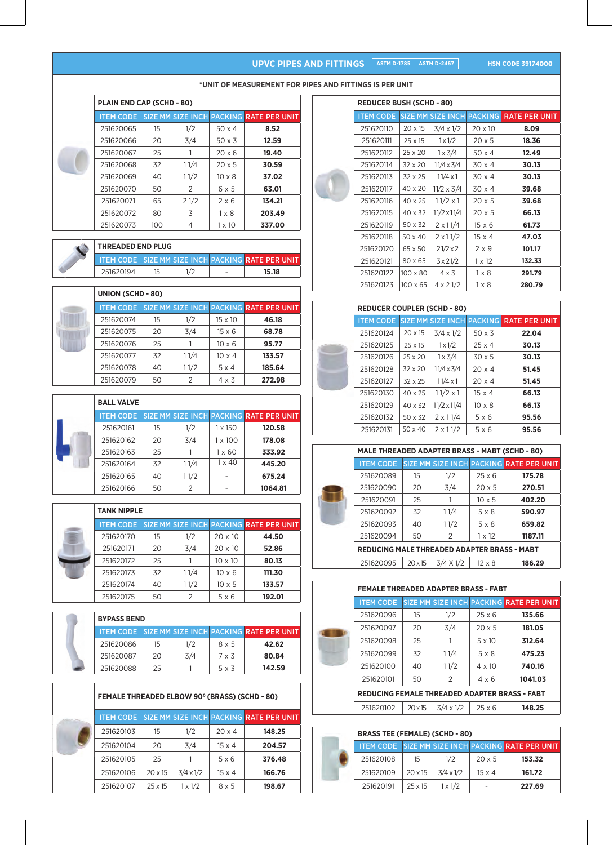# **UPVC PIPES AND FITTINGS ASTM D-1785 ASTM D-2467**

**HSN CODE 39174000** 

#### **\*UNIT OF MEASUREMENT FOR PIPES AND FITTINGS IS PER UNIT**

|  | <b>PLAIN END CAP (SCHD - 80)</b> |     |               |               |                                         |  |  |  |  |  |
|--|----------------------------------|-----|---------------|---------------|-----------------------------------------|--|--|--|--|--|
|  | <b>ITEM CODE</b>                 |     |               |               | SIZE MM SIZE INCH PACKING RATE PER UNIT |  |  |  |  |  |
|  | 251620065                        | 15  | 1/2           | $50 \times 4$ | 8.52                                    |  |  |  |  |  |
|  | 251620066                        | 20  | 3/4           | $50 \times 3$ | 12.59                                   |  |  |  |  |  |
|  | 251620067                        | 25  |               | 20x6          | 19.40                                   |  |  |  |  |  |
|  | 251620068                        | 32  | 11/4          | $20 \times 5$ | 30.59                                   |  |  |  |  |  |
|  | 251620069                        | 40  | 11/2          | $10 \times 8$ | 37.02                                   |  |  |  |  |  |
|  | 251620070                        | 50  | $\mathcal{P}$ | $6 \times 5$  | 63.01                                   |  |  |  |  |  |
|  | 251620071                        | 65  | 21/2          | $2 \times 6$  | 134.21                                  |  |  |  |  |  |
|  | 251620072                        | 80  | 3             | $1 \times 8$  | 203.49                                  |  |  |  |  |  |
|  | 251620073                        | 100 | 4             | $1 \times 10$ | 337.00                                  |  |  |  |  |  |

| <b>THREADED END PLUG</b> |  |                          |                                                          |
|--------------------------|--|--------------------------|----------------------------------------------------------|
|                          |  |                          | <b>ITEM CODE SIZE MM SIZE INCH PACKING RATE PER UNIT</b> |
| 251620194                |  | $\overline{\phantom{0}}$ | 15.18                                                    |

| <b>UNION (SCHD - 80)</b> |    |      |                |                                                          |  |  |  |  |
|--------------------------|----|------|----------------|----------------------------------------------------------|--|--|--|--|
|                          |    |      |                |                                                          |  |  |  |  |
| 251620074                | 15 | 1/2  | $15 \times 10$ | 46.18                                                    |  |  |  |  |
| 251620075                | 20 | 3/4  | $15 \times 6$  | 68.78                                                    |  |  |  |  |
| 251620076                | 25 |      | $10 \times 6$  | 95.77                                                    |  |  |  |  |
| 251620077                | 32 | 11/4 | $10 \times 4$  | 133.57                                                   |  |  |  |  |
| 251620078                | 40 | 11/2 | $5 \times 4$   | 185.64                                                   |  |  |  |  |
| 251620079                | 50 | 2    | $4 \times 3$   | 272.98                                                   |  |  |  |  |
|                          |    |      |                | <b>ITEM CODE SIZE MM SIZE INCH PACKING RATE PER UNIT</b> |  |  |  |  |

| <b>BALL VALVE</b> |    |               |                |                                         |
|-------------------|----|---------------|----------------|-----------------------------------------|
| <b>ITEM CODE</b>  |    |               |                | SIZE MM SIZE INCH PACKING RATE PER UNIT |
| 251620161         | 15 | 1/2           | $1 \times 150$ | 120.58                                  |
| 251620162         | 20 | 3/4           | $1 \times 100$ | 178.08                                  |
| 251620163         | 25 |               | $1 \times 60$  | 333.92                                  |
| 251620164         | 32 | 11/4          | $1 \times 40$  | 445.20                                  |
| 251620165         | 40 | 11/2          |                | 675.24                                  |
| 251620166         | 50 | $\mathcal{P}$ |                | 1064.81                                 |

|                  | <b>TANK NIPPLE</b> |      |                |                                         |  |  |  |  |  |
|------------------|--------------------|------|----------------|-----------------------------------------|--|--|--|--|--|
| <b>ITEM CODE</b> |                    |      |                | SIZE MM SIZE INCH PACKING RATE PER UNIT |  |  |  |  |  |
| 251620170        | 15                 | 1/2  | $20 \times 10$ | 44.50                                   |  |  |  |  |  |
| 251620171        | 20                 | 3/4  | $20 \times 10$ | 52.86                                   |  |  |  |  |  |
| 251620172        | 25                 |      | $10 \times 10$ | 80.13                                   |  |  |  |  |  |
| 251620173        | 32                 | 11/4 | $10 \times 6$  | 111.30                                  |  |  |  |  |  |
| 251620174        | 40                 | 11/2 | $10 \times 5$  | 133.57                                  |  |  |  |  |  |
| 251620175        | 50                 | っ    | 5 x 6          | 192.01                                  |  |  |  |  |  |

| <b>BYPASS BEND</b> |    |     |              |                                                          |  |  |  |
|--------------------|----|-----|--------------|----------------------------------------------------------|--|--|--|
|                    |    |     |              | <b>ITEM CODE SIZE MM SIZE INCH PACKING RATE PER UNIT</b> |  |  |  |
| 251620086          | 15 | 1/2 | 8 x 5        | 42.62                                                    |  |  |  |
| 251620087          | 20 | 3/4 | 7 x 3        | 80.84                                                    |  |  |  |
| 251620088          | 25 |     | $5 \times 3$ | 142.59                                                   |  |  |  |

| <b>FEMALE THREADED ELBOW 90° (BRASS) (SCHD - 80)</b> |                |                  |               |                                         |  |  |  |  |
|------------------------------------------------------|----------------|------------------|---------------|-----------------------------------------|--|--|--|--|
| <b>ITEM CODE</b>                                     |                |                  |               | SIZE MM SIZE INCH PACKING RATE PER UNIT |  |  |  |  |
| 251620103                                            | 15             | 1/2              | $20 \times 4$ | 148.25                                  |  |  |  |  |
| 251620104                                            | 20             | 3/4              | $15 \times 4$ | 204.57                                  |  |  |  |  |
| 251620105                                            | 25             |                  | 5x6           | 376.48                                  |  |  |  |  |
| 251620106                                            | $20 \times 15$ | $3/4 \times 1/2$ | $15 \times 4$ | 166.76                                  |  |  |  |  |
| 251620107                                            | $25 \times 15$ | $1 \times 1/2$   | $8 \times 5$  | 198.67                                  |  |  |  |  |

| <b>REDUCER BUSH (SCHD - 80)</b> |                 |                           |                |                      |  |  |  |  |  |
|---------------------------------|-----------------|---------------------------|----------------|----------------------|--|--|--|--|--|
| <b>ITEM CODE</b>                |                 | <b>SIZE MM SIZE INCHI</b> | <b>PACKING</b> | <b>RATE PER UNIT</b> |  |  |  |  |  |
| 251620110                       | $20 \times 15$  | $3/4 \times 1/2$          | $20 \times 10$ | 8.09                 |  |  |  |  |  |
| 251620111                       | 25 x 15         | $1 \times 1/2$            | $20 \times 5$  | 18.36                |  |  |  |  |  |
| 251620112                       | $25 \times 20$  | 1 x 3/4                   | $50 \times 4$  | 12.49                |  |  |  |  |  |
| 251620114                       | $32 \times 20$  | $11/4 \times 3/4$         | $30 \times 4$  | 30.13                |  |  |  |  |  |
| 251620113                       | 32 x 25         | 11/4 x 1                  | $30 \times 4$  | 30.13                |  |  |  |  |  |
| 251620117                       | 40 x 20         | $11/2 \times 3/4$         | 30 x 4         | 39.68                |  |  |  |  |  |
| 251620116                       | 40 x 25         | $11/2 \times 1$           | $20 \times 5$  | 39.68                |  |  |  |  |  |
| 251620115                       | 40 x 32         | $11/2 \times 11/4$        | $20 \times 5$  | 66.13                |  |  |  |  |  |
| 251620119                       | 50 x 32         | $2 \times 11/4$           | $15 \times 6$  | 61.73                |  |  |  |  |  |
| 251620118                       | 50 x 40         | $2 \times 11/2$           | $15 \times 4$  | 47.03                |  |  |  |  |  |
| 251620120                       | 65 x 50         | $21/2\times2$             | $2 \times 9$   | 101.17               |  |  |  |  |  |
| 251620121                       | 80 x 65         | 3x21/2                    | $1 \times 12$  | 132.33               |  |  |  |  |  |
| 251620122                       | $100 \times 80$ | $4 \times 3$              | $1 \times 8$   | 291.79               |  |  |  |  |  |
| 251620123                       | $100 \times 65$ | $4 \times 21/2$           | $1 \times 8$   | 280.79               |  |  |  |  |  |

| <b>REDUCER COUPLER (SCHD - 80)</b> |                |                                  |               |                      |
|------------------------------------|----------------|----------------------------------|---------------|----------------------|
| <b>ITEM CODE</b>                   |                | <b>SIZE MM SIZE INCH PACKING</b> |               | <b>RATE PER UNIT</b> |
| 251620124                          | $20 \times 15$ | $3/4 \times 1/2$                 | $50 \times 3$ | 22.04                |
| 251620125                          | $25 \times 15$ | $1 \times 1/2$                   | $25 \times 4$ | 30.13                |
| 251620126                          | $25 \times 20$ | $1 \times 3/4$                   | $30 \times 5$ | 30.13                |
| 251620128                          | $32 \times 20$ | $11/4 \times 3/4$                | $20 \times 4$ | 51.45                |
| 251620127                          | $32 \times 25$ | $11/4 \times 1$                  | $20 \times 4$ | 51.45                |
| 251620130                          | $40 \times 25$ | $11/2 \times 1$                  | $15 \times 4$ | 66.13                |
| 251620129                          | 40 x 32        | 11/2 x 11/4                      | $10 \times 8$ | 66.13                |
| 251620132                          | 50 x 32        | $2 \times 11/4$                  | $5 \times 6$  | 95.56                |
| 251620131                          | $50 \times 40$ | $2 \times 11/2$                  | $5 \times 6$  | 95.56                |

| <b>MALE THREADED ADAPTER BRASS - MABT (SCHD - 80)</b> |                |                  |               |                                         |  |  |  |  |
|-------------------------------------------------------|----------------|------------------|---------------|-----------------------------------------|--|--|--|--|
| <b>ITEM CODE</b>                                      |                |                  |               | SIZE MM SIZE INCH PACKING RATE PER UNIT |  |  |  |  |
| 251620089                                             | 15             | 1/2              | $25 \times 6$ | 175.78                                  |  |  |  |  |
| 251620090                                             | 20             | 3/4              | $20 \times 5$ | 270.51                                  |  |  |  |  |
| 251620091                                             | 25             |                  | $10 \times 5$ | 402.20                                  |  |  |  |  |
| 251620092                                             | 32             | 11/4             | 5 x 8         | 590.97                                  |  |  |  |  |
| 251620093                                             | 40             | 11/2             | 5 x 8         | 659.82                                  |  |  |  |  |
| 251620094                                             | 50             | 2                | $1 \times 12$ | 1187.11                                 |  |  |  |  |
| <b>REDUCING MALE THREADED ADAPTER BRASS - MABT</b>    |                |                  |               |                                         |  |  |  |  |
| 251620095                                             | $20 \times 15$ | $3/4 \times 1/2$ | $12 \times 8$ | 186.29                                  |  |  |  |  |

| <b>FEMALE THREADED ADAPTER BRASS - FABT</b>          |                |                  |               |                                         |  |  |  |  |
|------------------------------------------------------|----------------|------------------|---------------|-----------------------------------------|--|--|--|--|
| <b>ITEM CODE</b>                                     |                |                  |               | SIZE MM SIZE INCH PACKING RATE PER UNIT |  |  |  |  |
| 251620096                                            | 15             | 1/2              | $25 \times 6$ | 135.66                                  |  |  |  |  |
| 251620097                                            | 20             | 3/4              | $20 \times 5$ | 181.05                                  |  |  |  |  |
| 251620098                                            | 25             |                  | $5 \times 10$ | 312.64                                  |  |  |  |  |
| 251620099                                            | 32             | 11/4             | 5 x 8         | 475.23                                  |  |  |  |  |
| 251620100                                            | 40             | 11/2             | $4 \times 10$ | 740.16                                  |  |  |  |  |
| 251620101                                            | 50             | 2                | $4 \times 6$  | 1041.03                                 |  |  |  |  |
| <b>REDUCING FEMALE THREADED ADAPTER BRASS - FABT</b> |                |                  |               |                                         |  |  |  |  |
| 251620102                                            | $20 \times 15$ | $3/4 \times 1/2$ | $25 \times 6$ | 148.25                                  |  |  |  |  |

| <b>BRASS TEE (FEMALE) (SCHD - 80)</b> |                |                  |               |                                                          |  |  |  |
|---------------------------------------|----------------|------------------|---------------|----------------------------------------------------------|--|--|--|
|                                       |                |                  |               | <b>ITEM CODE SIZE MM SIZE INCH PACKING RATE PER UNIT</b> |  |  |  |
| 251620108                             | 15             | 1/2              | $20 \times 5$ | 153.32                                                   |  |  |  |
| 251620109                             | $20 \times 15$ | $3/4 \times 1/2$ | $15 \times 4$ | 161.72                                                   |  |  |  |
| 251620191                             | $25 \times 15$ | $1 \times 1/2$   |               | 227.69                                                   |  |  |  |